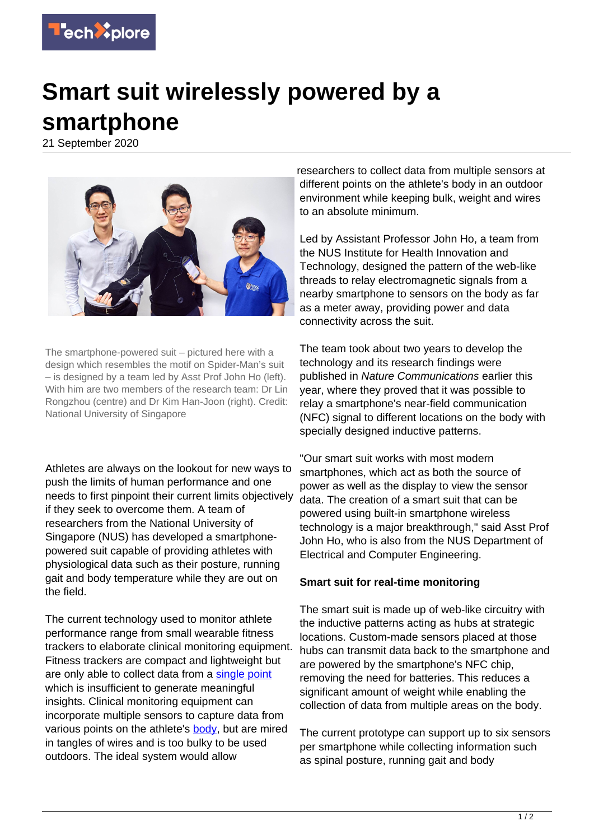

## **Smart suit wirelessly powered by a smartphone**

21 September 2020



The smartphone-powered suit – pictured here with a design which resembles the motif on Spider-Man's suit – is designed by a team led by Asst Prof John Ho (left). With him are two members of the research team: Dr Lin Rongzhou (centre) and Dr Kim Han-Joon (right). Credit: National University of Singapore

Athletes are always on the lookout for new ways to push the limits of human performance and one needs to first pinpoint their current limits objectively if they seek to overcome them. A team of researchers from the National University of Singapore (NUS) has developed a smartphonepowered suit capable of providing athletes with physiological data such as their posture, running gait and body temperature while they are out on the field.

The current technology used to monitor athlete performance range from small wearable fitness trackers to elaborate clinical monitoring equipment. Fitness trackers are compact and lightweight but are only able to collect data from a [single point](https://techxplore.com/tags/single+point/) which is insufficient to generate meaningful insights. Clinical monitoring equipment can incorporate multiple sensors to capture data from various points on the athlete's [body](https://techxplore.com/tags/body/), but are mired in tangles of wires and is too bulky to be used outdoors. The ideal system would allow

researchers to collect data from multiple sensors at different points on the athlete's body in an outdoor environment while keeping bulk, weight and wires to an absolute minimum.

Led by Assistant Professor John Ho, a team from the NUS Institute for Health Innovation and Technology, designed the pattern of the web-like threads to relay electromagnetic signals from a nearby smartphone to sensors on the body as far as a meter away, providing power and data connectivity across the suit.

The team took about two years to develop the technology and its research findings were published in Nature Communications earlier this year, where they proved that it was possible to relay a smartphone's near-field communication (NFC) signal to different locations on the body with specially designed inductive patterns.

"Our smart suit works with most modern smartphones, which act as both the source of power as well as the display to view the sensor data. The creation of a smart suit that can be powered using built-in smartphone wireless technology is a major breakthrough," said Asst Prof John Ho, who is also from the NUS Department of Electrical and Computer Engineering.

## **Smart suit for real-time monitoring**

The smart suit is made up of web-like circuitry with the inductive patterns acting as hubs at strategic locations. Custom-made sensors placed at those hubs can transmit data back to the smartphone and are powered by the smartphone's NFC chip, removing the need for batteries. This reduces a significant amount of weight while enabling the collection of data from multiple areas on the body.

The current prototype can support up to six sensors per smartphone while collecting information such as spinal posture, running gait and body